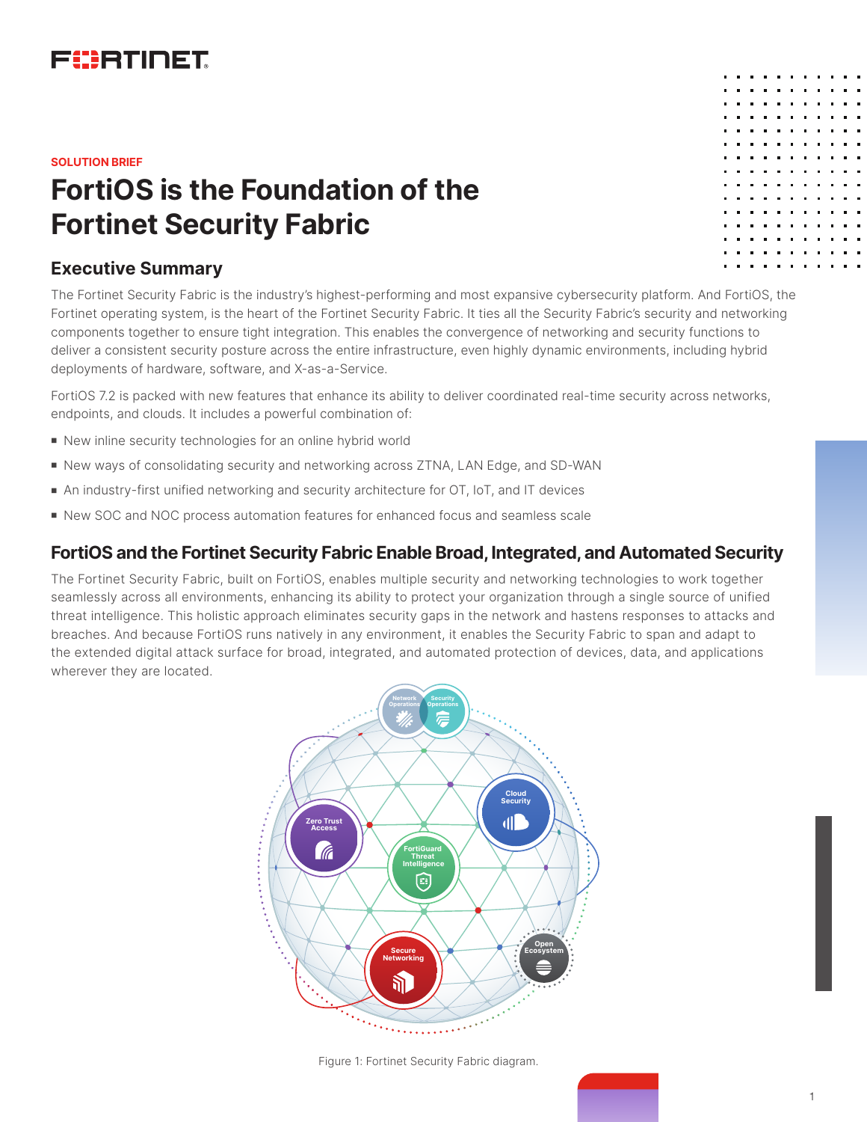

#### **SOLUTION BRIEF**

# **FortiOS is the Foundation of the Fortinet Security Fabric**

# **Executive Summary**

The Fortinet Security Fabric is the industry's highest-performing and most expansive cybersecurity platform. And FortiOS, the Fortinet operating system, is the heart of the Fortinet Security Fabric. It ties all the Security Fabric's security and networking components together to ensure tight integration. This enables the convergence of networking and security functions to deliver a consistent security posture across the entire infrastructure, even highly dynamic environments, including hybrid deployments of hardware, software, and X-as-a-Service.

FortiOS 7.2 is packed with new features that enhance its ability to deliver coordinated real-time security across networks, endpoints, and clouds. It includes a powerful combination of:

- New inline security technologies for an online hybrid world
- **New ways of consolidating security and networking across ZTNA, LAN Edge, and SD-WAN**
- n An industry-first unified networking and security architecture for OT, IoT, and IT devices
- New SOC and NOC process automation features for enhanced focus and seamless scale

# **FortiOS and the Fortinet Security Fabric Enable Broad, Integrated, and Automated Security**

The Fortinet Security Fabric, built on FortiOS, enables multiple security and networking technologies to work together seamlessly across all environments, enhancing its ability to protect your organization through a single source of unified threat intelligence. This holistic approach eliminates security gaps in the network and hastens responses to attacks and breaches. And because FortiOS runs natively in any environment, it enables the Security Fabric to span and adapt to the extended digital attack surface for broad, integrated, and automated protection of devices, data, and applications wherever they are located.



Figure 1: Fortinet Security Fabric diagram.

| $\blacksquare$ | $\blacksquare$ |                | .   |   |                  |                                                              |  |
|----------------|----------------|----------------|-----|---|------------------|--------------------------------------------------------------|--|
| $\blacksquare$ | п              | п              | .   |   |                  | $\blacksquare$                                               |  |
| п              | $\blacksquare$ | $\blacksquare$ | . . | . |                  | $\blacksquare$                                               |  |
| $\blacksquare$ | $\blacksquare$ | п              | .   |   | $\blacksquare$   | $\blacksquare$                                               |  |
| $\blacksquare$ | П              | $\blacksquare$ | .   |   | $\blacksquare$   | $\blacksquare$                                               |  |
| $\blacksquare$ | $\blacksquare$ | $\blacksquare$ | .   |   |                  |                                                              |  |
| $\blacksquare$ | П              | $\blacksquare$ | .   |   |                  | $\begin{array}{ccc} \bullet & \bullet & \bullet \end{array}$ |  |
| п              | $\blacksquare$ |                | .   |   |                  |                                                              |  |
| $\blacksquare$ | п              | $\blacksquare$ | .   |   | $\blacksquare$   | $\mathbf{B}=\mathbf{0}$                                      |  |
| $\blacksquare$ | $\blacksquare$ | - 11           | .   |   |                  |                                                              |  |
| п              | п              | $\blacksquare$ | . . | . | $\blacksquare$   | $\begin{array}{ccc} \bullet & \bullet & \bullet \end{array}$ |  |
| п              | п              | $\blacksquare$ | .   |   |                  |                                                              |  |
| п              | п              | $\blacksquare$ | . . | . | $\blacksquare$   | $\blacksquare$                                               |  |
| п              | $\blacksquare$ | $\blacksquare$ | .   |   |                  |                                                              |  |
| п              | $\blacksquare$ | $\blacksquare$ | .   |   | $\blacksquare$ . | $\blacksquare$                                               |  |
|                |                |                |     |   |                  |                                                              |  |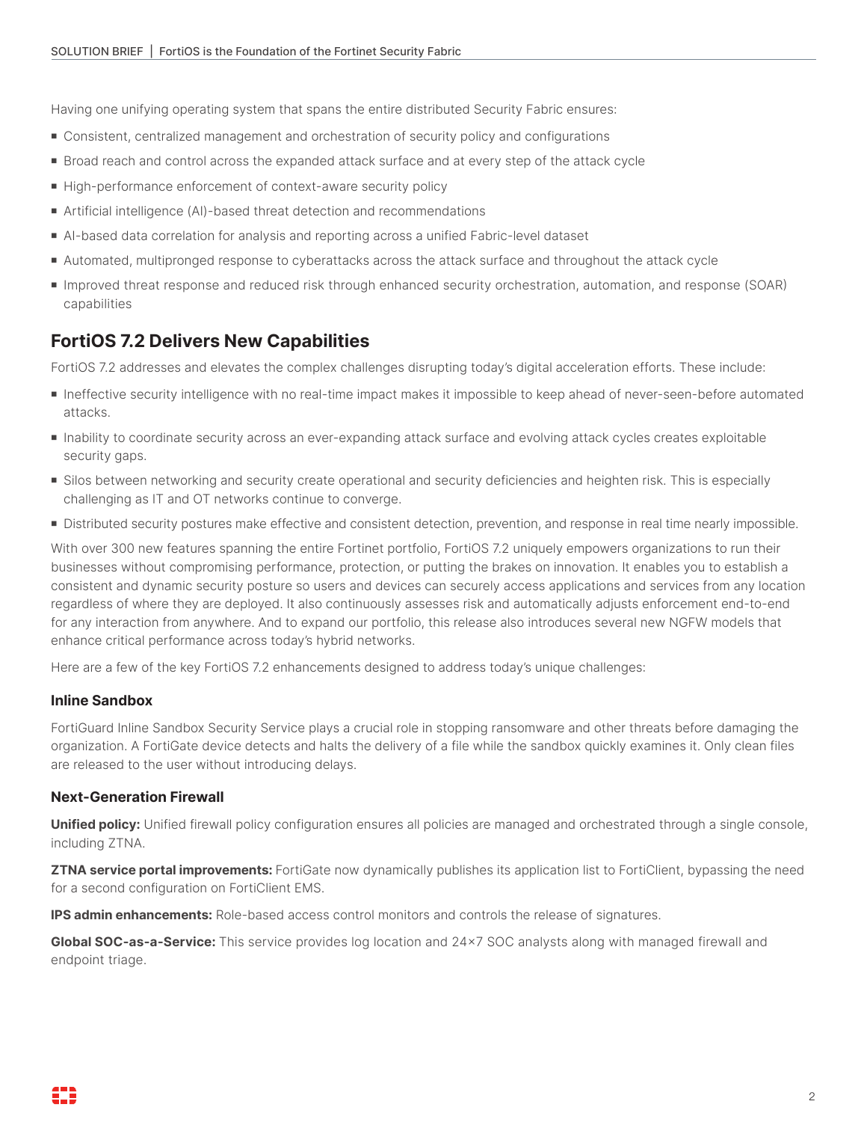Having one unifying operating system that spans the entire distributed Security Fabric ensures:

- Consistent, centralized management and orchestration of security policy and configurations
- <sup>n</sup> Broad reach and control across the expanded attack surface and at every step of the attack cycle
- High-performance enforcement of context-aware security policy
- Artificial intelligence (AI)-based threat detection and recommendations
- <sup>n</sup> AI-based data correlation for analysis and reporting across a unified Fabric-level dataset
- Automated, multipronged response to cyberattacks across the attack surface and throughout the attack cycle
- <sup>n</sup> Improved threat response and reduced risk through enhanced security orchestration, automation, and response (SOAR) capabilities

# **FortiOS 7.2 Delivers New Capabilities**

FortiOS 7.2 addresses and elevates the complex challenges disrupting today's digital acceleration efforts. These include:

- <sup>n</sup> Ineffective security intelligence with no real-time impact makes it impossible to keep ahead of never-seen-before automated attacks.
- <sup>n</sup> Inability to coordinate security across an ever-expanding attack surface and evolving attack cycles creates exploitable security gaps.
- <sup>n</sup> Silos between networking and security create operational and security deficiencies and heighten risk. This is especially challenging as IT and OT networks continue to converge.
- <sup>n</sup> Distributed security postures make effective and consistent detection, prevention, and response in real time nearly impossible.

With over 300 new features spanning the entire Fortinet portfolio, FortiOS 7.2 uniquely empowers organizations to run their businesses without compromising performance, protection, or putting the brakes on innovation. It enables you to establish a consistent and dynamic security posture so users and devices can securely access applications and services from any location regardless of where they are deployed. It also continuously assesses risk and automatically adjusts enforcement end-to-end for any interaction from anywhere. And to expand our portfolio, this release also introduces several new NGFW models that enhance critical performance across today's hybrid networks.

Here are a few of the key FortiOS 7.2 enhancements designed to address today's unique challenges:

#### **Inline Sandbox**

FortiGuard Inline Sandbox Security Service plays a crucial role in stopping ransomware and other threats before damaging the organization. A FortiGate device detects and halts the delivery of a file while the sandbox quickly examines it. Only clean files are released to the user without introducing delays.

#### **Next-Generation Firewall**

**Unified policy:** Unified firewall policy configuration ensures all policies are managed and orchestrated through a single console, including ZTNA.

**ZTNA service portal improvements:** FortiGate now dynamically publishes its application list to FortiClient, bypassing the need for a second configuration on FortiClient EMS.

**IPS admin enhancements:** Role-based access control monitors and controls the release of signatures.

**Global SOC-as-a-Service:** This service provides log location and 24x7 SOC analysts along with managed firewall and endpoint triage.